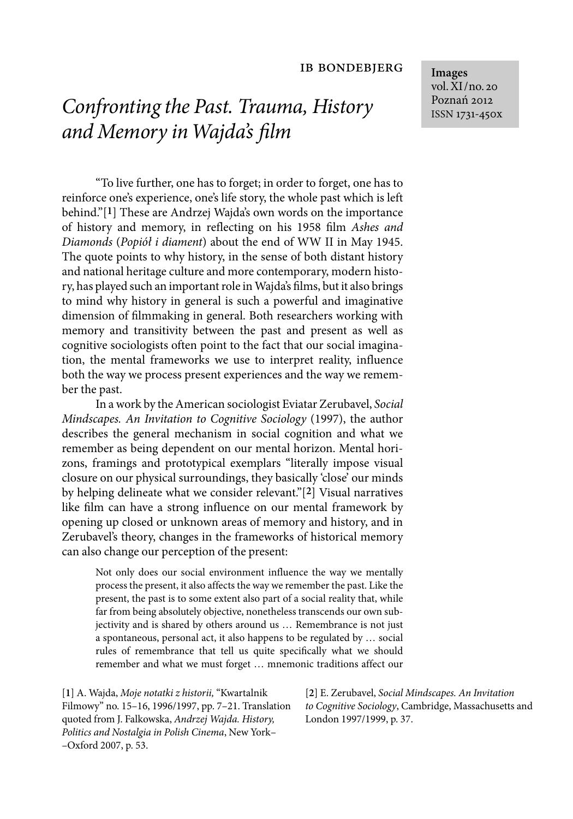# *Confronting the Past. Trauma, History and Memory in Wajda's film*

"To live further, one has to forget; in order to forget, one has to reinforce one's experience, one's life story, the whole past which is left behind."[**1**] These are Andrzej Wajda's own words on the importance of history and memory, in reflecting on his 1958 film *Ashes and Diamonds* (*Popiół i diament*) about the end of WW II in May 1945. The quote points to why history, in the sense of both distant history and national heritage culture and more contemporary, modern history, has played such an important role in Wajda's films, but it also brings to mind why history in general is such a powerful and imaginative dimension of filmmaking in general. Both researchers working with memory and transitivity between the past and present as well as cognitive sociologists often point to the fact that our social imagination, the mental frameworks we use to interpret reality, influence both the way we process present experiences and the way we remember the past.

In a work by the American sociologist Eviatar Zerubavel, *Social Mindscapes. An Invitation to Cognitive Sociology* (1997), the author describes the general mechanism in social cognition and what we remember as being dependent on our mental horizon. Mental horizons, framings and prototypical exemplars "literally impose visual closure on our physical surroundings, they basically 'close' our minds by helping delineate what we consider relevant."[**2**] Visual narratives like film can have a strong influence on our mental framework by opening up closed or unknown areas of memory and history, and in Zerubavel's theory, changes in the frameworks of historical memory can also change our perception of the present:

Not only does our social environment influence the way we mentally process the present, it also affects the way we remember the past. Like the present, the past is to some extent also part of a social reality that, while far from being absolutely objective, nonetheless transcends our own subjectivity and is shared by others around us … Remembrance is not just a spontaneous, personal act, it also happens to be regulated by … social rules of remembrance that tell us quite specifically what we should remember and what we must forget … mnemonic traditions affect our

[**1**] A. Wajda, *Moje notatki z historii,* "Kwartalnik Filmowy" no. 15–16, 1996/1997, pp. 7–21. Translation quoted from J. Falkowska, *Andrzej Wajda. History, Politics and Nostalgia in Polish Cinema*, New York– –Oxford 2007, p. 53.

[**2**] E. Zerubavel, *Social Mindscapes. An Invitation to Cognitive Sociology*, Cambridge, Massachusetts and London 1997/1999, p. 37.

**Images** vol. XI/no. 20 Poznań 2012 ISSN 1731-450x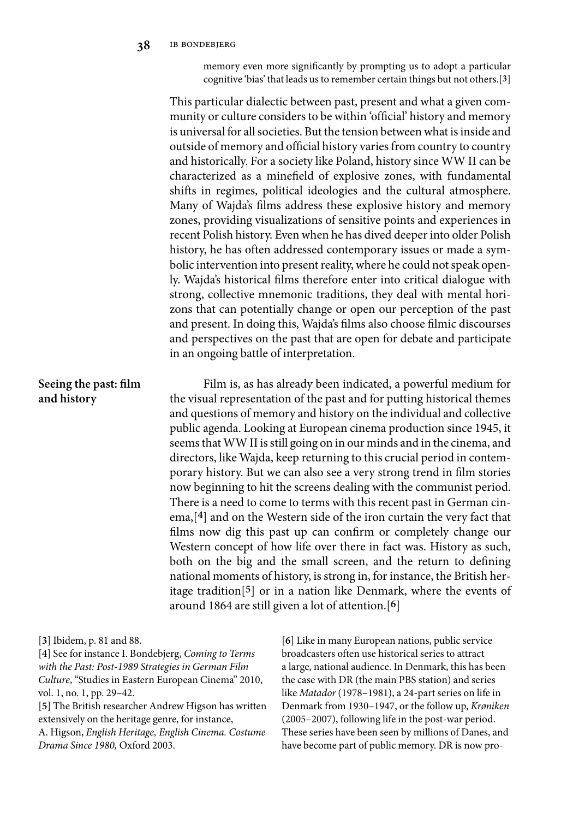memory even more significantly by prompting us to adopt a particular cognitive 'bias' that leads us to remember certain things but not others.[**3**]

This particular dialectic between past, present and what a given community or culture considers to be within 'official' history and memory is universal for all societies. But the tension between what is inside and outside of memory and official history varies from country to country and historically. For a society like Poland, history since WW II can be characterized as a minefield of explosive zones, with fundamental shifts in regimes, political ideologies and the cultural atmosphere. Many of Wajda's films address these explosive history and memory zones, providing visualizations of sensitive points and experiences in recent Polish history. Even when he has dived deeper into older Polish history, he has often addressed contemporary issues or made a symbolic intervention into present reality, where he could not speak openly. Wajda's historical films therefore enter into critical dialogue with strong, collective mnemonic traditions, they deal with mental horizons that can potentially change or open our perception of the past and present. In doing this, Wajda's films also choose filmic discourses and perspectives on the past that are open for debate and participate in an ongoing battle of interpretation. Film is, as has already been indicated, a powerful medium for the visual representation of the past and for putting historical themes and questions of memory and history on the individual and collective public agenda. Looking at European cinema production since 1945, it seems that WW II is still going on in our minds and in the cinema, and directors, like Wajda, keep returning to this crucial period in contemporary history. But we can also see a very strong trend in film stories now beginning to hit the screens dealing with the communist period. There is a need to come to terms with this recent past in German cinema,[**4**] and on the Western side of the iron curtain the very fact that films now dig this past up can confirm or completely change our Western concept of how life over there in fact was. History as such, both on the big and the small screen, and the return to defining national moments of history, is strong in, for instance, the British heritage tradition[**5**] or in a nation like Denmark, where the events of around 1864 are still given a lot of attention.[**6**] **Seeing the past: film and history**

#### [**3**] Ibidem, p. 81 and 88.

[**4**] See for instance I. Bondebjerg, *Coming to Terms with the Past: Post-1989 Strategies in German Film Culture*, "Studies in Eastern European Cinema" 2010, vol. 1, no. 1, pp. 29–42.

[**5**] The British researcher Andrew Higson has written extensively on the heritage genre, for instance,

A. Higson, *English Heritage, English Cinema. Costume Drama Since 1980,* Oxford 2003.

[**6**] Like in many European nations, public service broadcasters often use historical series to attract a large, national audience. In Denmark, this has been the case with DR (the main PBS station) and series like *Matador* (1978–1981), a 24-part series on life in Denmark from 1930–1947, or the follow up, *Krøniken* (2005–2007), following life in the post-war period. These series have been seen by millions of Danes, and have become part of public memory. DR is now pro-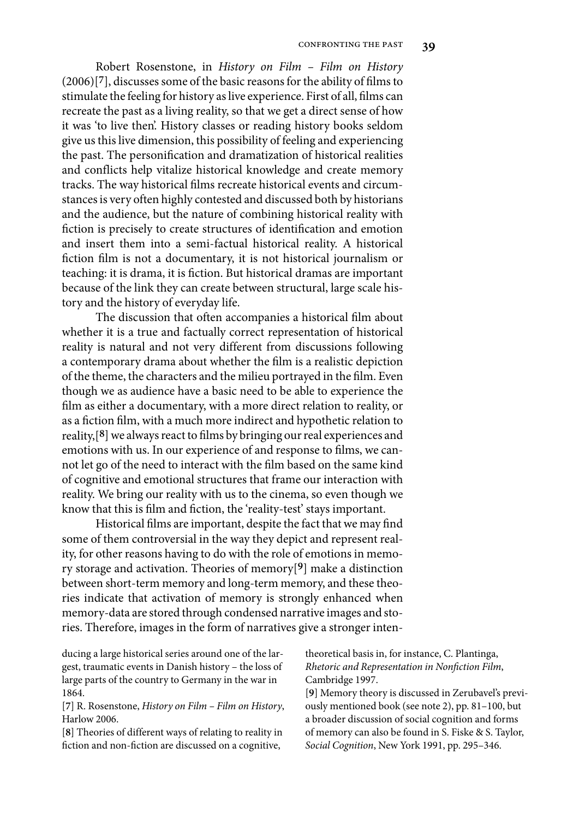Robert Rosenstone, in *History on Film – Film on History* (2006)[**7**], discusses some of the basic reasons for the ability of films to stimulate the feeling for history as live experience. First of all, films can recreate the past as a living reality, so that we get a direct sense of how it was 'to live then'. History classes or reading history books seldom give us this live dimension, this possibility of feeling and experiencing the past. The personification and dramatization of historical realities and conflicts help vitalize historical knowledge and create memory tracks. The way historical films recreate historical events and circumstances is very often highly contested and discussed both by historians and the audience, but the nature of combining historical reality with fiction is precisely to create structures of identification and emotion and insert them into a semi-factual historical reality. A historical fiction film is not a documentary, it is not historical journalism or teaching: it is drama, it is fiction. But historical dramas are important because of the link they can create between structural, large scale history and the history of everyday life.

The discussion that often accompanies a historical film about whether it is a true and factually correct representation of historical reality is natural and not very different from discussions following a contemporary drama about whether the film is a realistic depiction of the theme, the characters and the milieu portrayed in the film. Even though we as audience have a basic need to be able to experience the film as either a documentary, with a more direct relation to reality, or as a fiction film, with a much more indirect and hypothetic relation to reality,[**8**] we always react to films by bringing our real experiences and emotions with us. In our experience of and response to films, we cannot let go of the need to interact with the film based on the same kind of cognitive and emotional structures that frame our interaction with reality. We bring our reality with us to the cinema, so even though we know that this is film and fiction, the 'reality-test' stays important.

Historical films are important, despite the fact that we may find some of them controversial in the way they depict and represent reality, for other reasons having to do with the role of emotions in memory storage and activation. Theories of memory[**9**] make a distinction between short-term memory and long-term memory, and these theories indicate that activation of memory is strongly enhanced when memory-data are stored through condensed narrative images and stories. Therefore, images in the form of narratives give a stronger inten-

ducing a large historical series around one of the largest, traumatic events in Danish history – the loss of large parts of the country to Germany in the war in 1864.

[**7**] R. Rosenstone, *History on Film – Film on History*, Harlow 2006.

[**8**] Theories of different ways of relating to reality in fiction and non-fiction are discussed on a cognitive,

theoretical basis in, for instance, C. Plantinga, *Rhetoric and Representation in Nonfiction Film*, Cambridge 1997.

[**9**] Memory theory is discussed in Zerubavel's previously mentioned book (see note 2), pp. 81–100, but a broader discussion of social cognition and forms of memory can also be found in S. Fiske & S. Taylor, *Social Cognition*, New York 1991, pp. 295–346.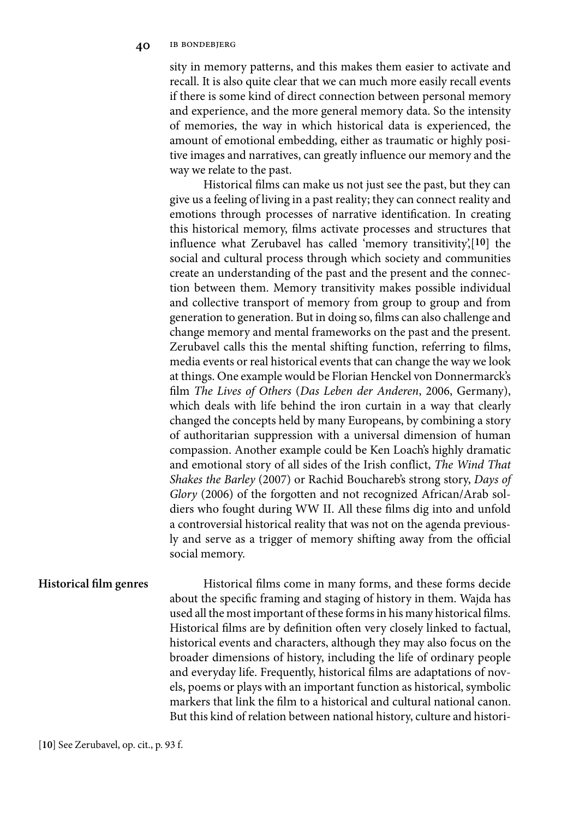sity in memory patterns, and this makes them easier to activate and recall. It is also quite clear that we can much more easily recall events if there is some kind of direct connection between personal memory and experience, and the more general memory data. So the intensity of memories, the way in which historical data is experienced, the amount of emotional embedding, either as traumatic or highly positive images and narratives, can greatly influence our memory and the way we relate to the past.

Historical films can make us not just see the past, but they can give us a feeling of living in a past reality; they can connect reality and emotions through processes of narrative identification. In creating this historical memory, films activate processes and structures that influence what Zerubavel has called 'memory transitivity',[**10**] the social and cultural process through which society and communities create an understanding of the past and the present and the connection between them. Memory transitivity makes possible individual and collective transport of memory from group to group and from generation to generation. But in doing so, films can also challenge and change memory and mental frameworks on the past and the present. Zerubavel calls this the mental shifting function, referring to films, media events or real historical events that can change the way we look at things. One example would be Florian Henckel von Donnermarck's film *The Lives of Others* (*Das Leben der Anderen*, 2006, Germany), which deals with life behind the iron curtain in a way that clearly changed the concepts held by many Europeans, by combining a story of authoritarian suppression with a universal dimension of human compassion. Another example could be Ken Loach's highly dramatic and emotional story of all sides of the Irish conflict, *The Wind That Shakes the Barley* (2007) or Rachid Bouchareb's strong story, *Days of Glory* (2006) of the forgotten and not recognized African/Arab soldiers who fought during WW II. All these films dig into and unfold a controversial historical reality that was not on the agenda previously and serve as a trigger of memory shifting away from the official social memory.

### **Historical film genres**

Historical films come in many forms, and these forms decide about the specific framing and staging of history in them. Wajda has used all the most important of these forms in his many historical films. Historical films are by definition often very closely linked to factual, historical events and characters, although they may also focus on the broader dimensions of history, including the life of ordinary people and everyday life. Frequently, historical films are adaptations of novels, poems or plays with an important function as historical, symbolic markers that link the film to a historical and cultural national canon. But this kind of relation between national history, culture and histori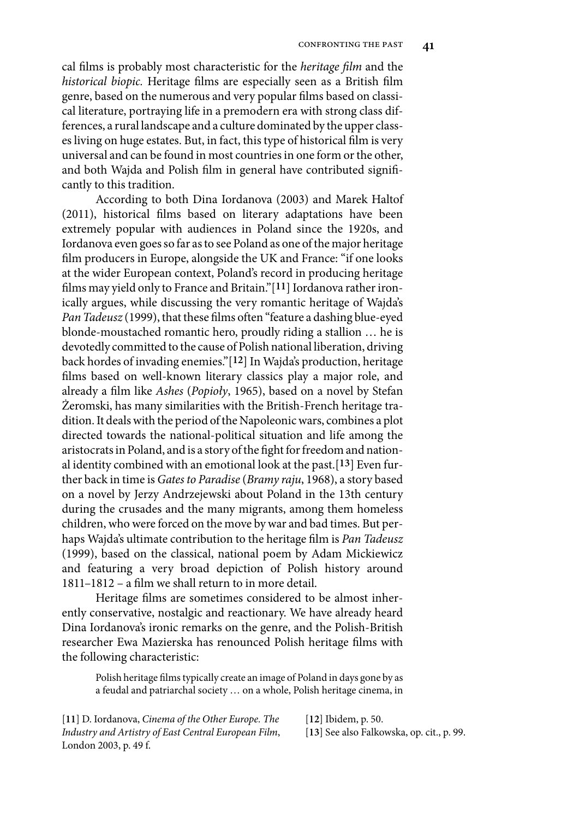cal films is probably most characteristic for the *heritage film* and the *historical biopic.* Heritage films are especially seen as a British film genre, based on the numerous and very popular films based on classical literature, portraying life in a premodern era with strong class differences, a rural landscape and a culture dominated by the upper classes living on huge estates. But, in fact, this type of historical film is very universal and can be found in most countries in one form or the other, and both Wajda and Polish film in general have contributed significantly to this tradition.

According to both Dina Iordanova (2003) and Marek Haltof (2011), historical films based on literary adaptations have been extremely popular with audiences in Poland since the 1920s, and Iordanova even goes so far as to see Poland as one of the major heritage film producers in Europe, alongside the UK and France: "if one looks at the wider European context, Poland's record in producing heritage films may yield only to France and Britain."[**11**] Iordanova rather ironically argues, while discussing the very romantic heritage of Wajda's *Pan Tadeusz* (1999), that these films often "feature a dashing blue-eyed blonde-moustached romantic hero, proudly riding a stallion … he is devotedly committed to the cause of Polish national liberation, driving back hordes of invading enemies."[**12**] In Wajda's production, heritage films based on well-known literary classics play a major role, and already a film like *Ashes* (*Popioły*, 1965), based on a novel by Stefan Żeromski, has many similarities with the British-French heritage tradition. It deals with the period of the Napoleonic wars, combines a plot directed towards the national-political situation and life among the aristocrats in Poland, and is a story of the fight for freedom and national identity combined with an emotional look at the past.[**13**] Even further back in time is *Gates to Paradise* (*Bramy raju*, 1968), a story based on a novel by Jerzy Andrzejewski about Poland in the 13th century during the crusades and the many migrants, among them homeless children, who were forced on the move by war and bad times. But perhaps Wajda's ultimate contribution to the heritage film is *Pan Tadeusz* (1999), based on the classical, national poem by Adam Mickiewicz and featuring a very broad depiction of Polish history around 1811–1812 – a film we shall return to in more detail.

Heritage films are sometimes considered to be almost inherently conservative, nostalgic and reactionary. We have already heard Dina Iordanova's ironic remarks on the genre, and the Polish-British researcher Ewa Mazierska has renounced Polish heritage films with the following characteristic:

Polish heritage films typically create an image of Poland in days gone by as a feudal and patriarchal society … on a whole, Polish heritage cinema, in

[**11**] D. Iordanova, *Cinema of the Other Europe. The Industry and Artistry of East Central European Film*, London 2003, p. 49 f.

[**12**] Ibidem, p. 50.

[**13**] See also Falkowska, op. cit., p. 99.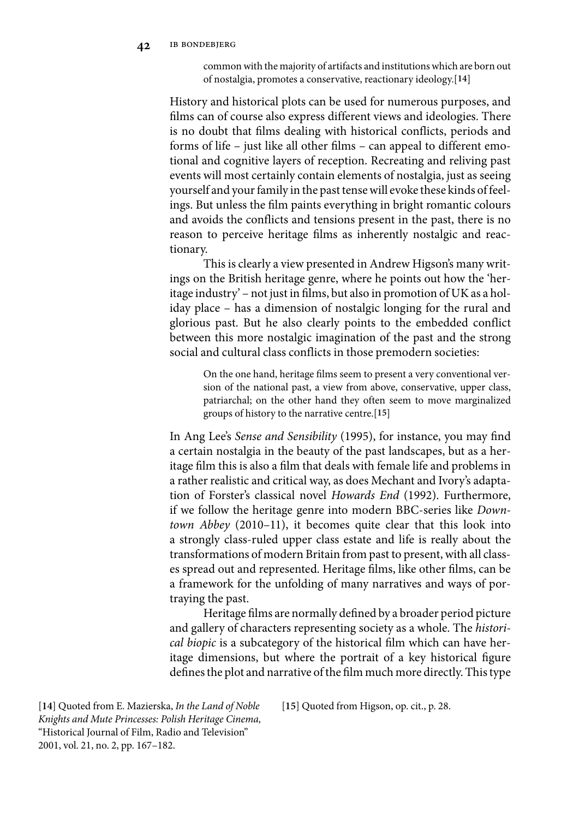common with the majority of artifacts and institutions which are born out of nostalgia, promotes a conservative, reactionary ideology.[**14**]

History and historical plots can be used for numerous purposes, and films can of course also express different views and ideologies. There is no doubt that films dealing with historical conflicts, periods and forms of life – just like all other films – can appeal to different emotional and cognitive layers of reception. Recreating and reliving past events will most certainly contain elements of nostalgia, just as seeing yourself and your family in the past tense will evoke these kinds of feelings. But unless the film paints everything in bright romantic colours and avoids the conflicts and tensions present in the past, there is no reason to perceive heritage films as inherently nostalgic and reactionary.

This is clearly a view presented in Andrew Higson's many writings on the British heritage genre, where he points out how the 'heritage industry' – not just in films, but also in promotion of UK as a holiday place – has a dimension of nostalgic longing for the rural and glorious past. But he also clearly points to the embedded conflict between this more nostalgic imagination of the past and the strong social and cultural class conflicts in those premodern societies:

On the one hand, heritage films seem to present a very conventional version of the national past, a view from above, conservative, upper class, patriarchal; on the other hand they often seem to move marginalized groups of history to the narrative centre.[**15**]

In Ang Lee's *Sense and Sensibility* (1995), for instance, you may find a certain nostalgia in the beauty of the past landscapes, but as a heritage film this is also a film that deals with female life and problems in a rather realistic and critical way, as does Mechant and Ivory's adaptation of Forster's classical novel *Howards End* (1992). Furthermore, if we follow the heritage genre into modern BBC-series like *Downtown Abbey* (2010–11), it becomes quite clear that this look into a strongly class-ruled upper class estate and life is really about the transformations of modern Britain from past to present, with all classes spread out and represented. Heritage films, like other films, can be a framework for the unfolding of many narratives and ways of portraying the past.

Heritage films are normally defined by a broader period picture and gallery of characters representing society as a whole. The *historical biopic* is a subcategory of the historical film which can have heritage dimensions, but where the portrait of a key historical figure defines the plot and narrative of the film much more directly. This type

[**14**] Quoted from E. Mazierska, *In the Land of Noble Knights and Mute Princesses: Polish Heritage Cinema,* "Historical Journal of Film, Radio and Television" 2001, vol. 21, no. 2, pp. 167–182.

[**15**] Quoted from Higson, op. cit., p. 28.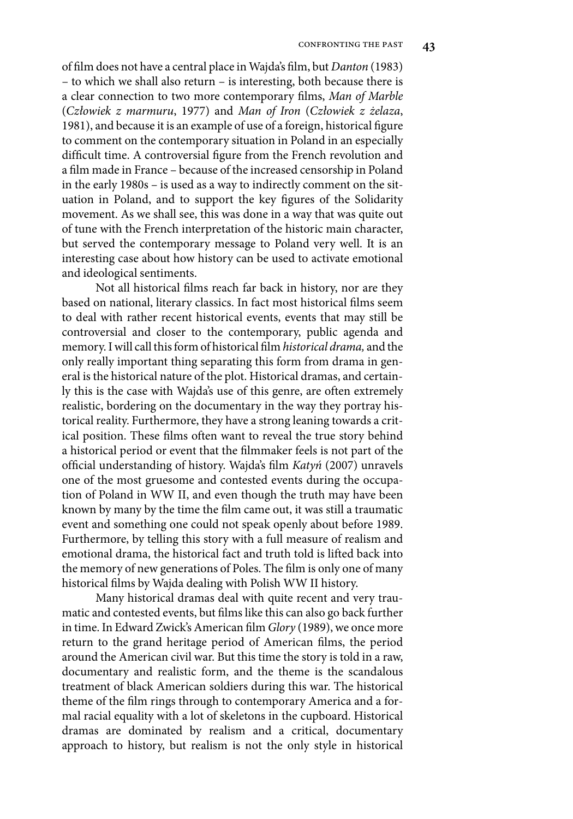of film does not have a central place in Wajda's film, but *Danton* (1983) – to which we shall also return – is interesting, both because there is a clear connection to two more contemporary films, *Man of Marble* (*Człowiek z marmuru*, 1977) and *Man of Iron* (*Człowiek z żelaza*, 1981), and because it is an example of use of a foreign, historical figure to comment on the contemporary situation in Poland in an especially difficult time. A controversial figure from the French revolution and a film made in France – because of the increased censorship in Poland in the early 1980s – is used as a way to indirectly comment on the situation in Poland, and to support the key figures of the Solidarity movement. As we shall see, this was done in a way that was quite out of tune with the French interpretation of the historic main character, but served the contemporary message to Poland very well. It is an interesting case about how history can be used to activate emotional and ideological sentiments.

Not all historical films reach far back in history, nor are they based on national, literary classics. In fact most historical films seem to deal with rather recent historical events, events that may still be controversial and closer to the contemporary, public agenda and memory. I will call this form of historical film *historical drama,* and the only really important thing separating this form from drama in general is the historical nature of the plot. Historical dramas, and certainly this is the case with Wajda's use of this genre, are often extremely realistic, bordering on the documentary in the way they portray historical reality. Furthermore, they have a strong leaning towards a critical position. These films often want to reveal the true story behind a historical period or event that the filmmaker feels is not part of the official understanding of history. Wajda's film *Katyń* (2007) unravels one of the most gruesome and contested events during the occupation of Poland in WW II, and even though the truth may have been known by many by the time the film came out, it was still a traumatic event and something one could not speak openly about before 1989. Furthermore, by telling this story with a full measure of realism and emotional drama, the historical fact and truth told is lifted back into the memory of new generations of Poles. The film is only one of many historical films by Wajda dealing with Polish WW II history.

Many historical dramas deal with quite recent and very traumatic and contested events, but films like this can also go back further in time. In Edward Zwick's American film *Glory* (1989), we once more return to the grand heritage period of American films, the period around the American civil war. But this time the story is told in a raw, documentary and realistic form, and the theme is the scandalous treatment of black American soldiers during this war. The historical theme of the film rings through to contemporary America and a formal racial equality with a lot of skeletons in the cupboard. Historical dramas are dominated by realism and a critical, documentary approach to history, but realism is not the only style in historical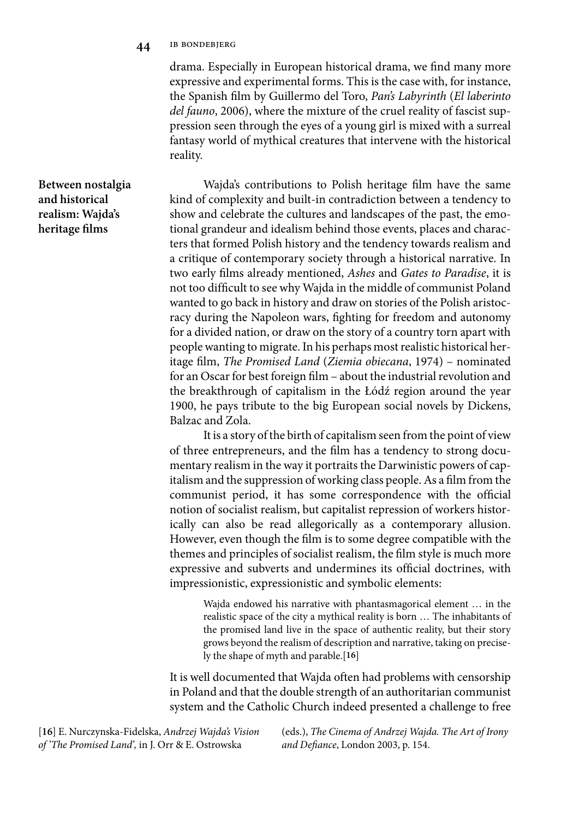**44** ib bondebjerg

drama. Especially in European historical drama, we find many more expressive and experimental forms. This is the case with, for instance, the Spanish film by Guillermo del Toro, *Pan's Labyrinth* (*El laberinto del fauno*, 2006), where the mixture of the cruel reality of fascist suppression seen through the eyes of a young girl is mixed with a surreal fantasy world of mythical creatures that intervene with the historical reality.

Wajda's contributions to Polish heritage film have the same kind of complexity and built-in contradiction between a tendency to show and celebrate the cultures and landscapes of the past, the emotional grandeur and idealism behind those events, places and characters that formed Polish history and the tendency towards realism and a critique of contemporary society through a historical narrative. In two early films already mentioned, *Ashes* and *Gates to Paradise*, it is not too difficult to see why Wajda in the middle of communist Poland wanted to go back in history and draw on stories of the Polish aristocracy during the Napoleon wars, fighting for freedom and autonomy for a divided nation, or draw on the story of a country torn apart with people wanting to migrate. In his perhaps most realistic historical heritage film, *The Promised Land* (*Ziemia obiecana*, 1974) – nominated for an Oscar for best foreign film – about the industrial revolution and the breakthrough of capitalism in the Łódź region around the year 1900, he pays tribute to the big European social novels by Dickens, Balzac and Zola.

It is a story of the birth of capitalism seen from the point of view of three entrepreneurs, and the film has a tendency to strong documentary realism in the way it portraits the Darwinistic powers of capitalism and the suppression of working class people. As a film from the communist period, it has some correspondence with the official notion of socialist realism, but capitalist repression of workers historically can also be read allegorically as a contemporary allusion. However, even though the film is to some degree compatible with the themes and principles of socialist realism, the film style is much more expressive and subverts and undermines its official doctrines, with impressionistic, expressionistic and symbolic elements:

Wajda endowed his narrative with phantasmagorical element … in the realistic space of the city a mythical reality is born … The inhabitants of the promised land live in the space of authentic reality, but their story grows beyond the realism of description and narrative, taking on precisely the shape of myth and parable.[**16**]

It is well documented that Wajda often had problems with censorship in Poland and that the double strength of an authoritarian communist system and the Catholic Church indeed presented a challenge to free

[**16**] E. Nurczynska-Fidelska, *Andrzej Wajda's Vision of 'The Promised Land',* in J. Orr & E. Ostrowska

(eds.), *The Cinema of Andrzej Wajda. The Art of Irony and Defiance*, London 2003, p. 154.

**Between nostalgia and historical realism: Wajda's heritage films**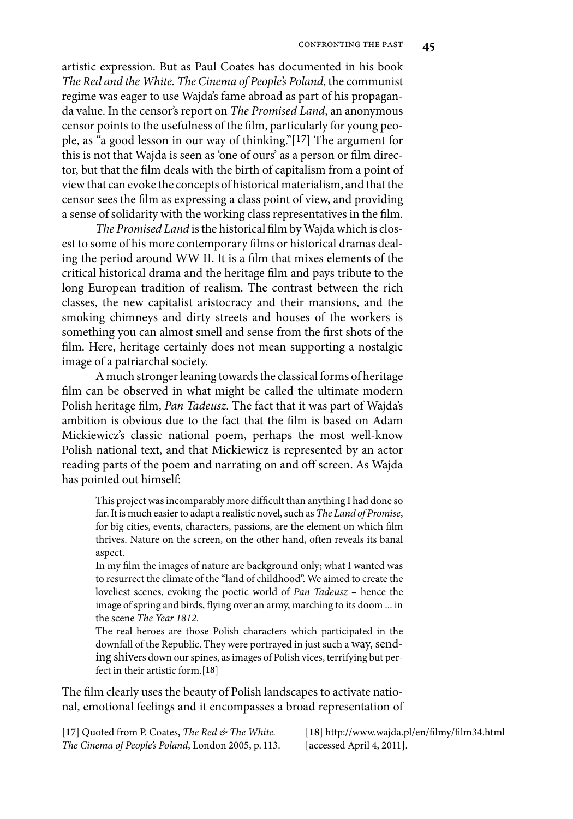artistic expression. But as Paul Coates has documented in his book *The Red and the White. The Cinema of People's Poland*, the communist regime was eager to use Wajda's fame abroad as part of his propaganda value. In the censor's report on *The Promised Land*, an anonymous censor points to the usefulness of the film, particularly for young people, as "a good lesson in our way of thinking."[**17**] The argument for this is not that Wajda is seen as 'one of ours' as a person or film director, but that the film deals with the birth of capitalism from a point of view that can evoke the concepts of historical materialism, and that the censor sees the film as expressing a class point of view, and providing a sense of solidarity with the working class representatives in the film.

*The Promised Land* is the historical film by Wajda which is closest to some of his more contemporary films or historical dramas dealing the period around WW II. It is a film that mixes elements of the critical historical drama and the heritage film and pays tribute to the long European tradition of realism. The contrast between the rich classes, the new capitalist aristocracy and their mansions, and the smoking chimneys and dirty streets and houses of the workers is something you can almost smell and sense from the first shots of the film. Here, heritage certainly does not mean supporting a nostalgic image of a patriarchal society.

A much stronger leaning towards the classical forms of heritage film can be observed in what might be called the ultimate modern Polish heritage film, *Pan Tadeusz*. The fact that it was part of Wajda's ambition is obvious due to the fact that the film is based on Adam Mickiewicz's classic national poem, perhaps the most well-know Polish national text, and that Mickiewicz is represented by an actor reading parts of the poem and narrating on and off screen. As Wajda has pointed out himself:

This project was incomparably more difficult than anything I had done so far. It is much easier to adapt a realistic novel, such as *The Land of Promise*, for big cities, events, characters, passions, are the element on which film thrives. Nature on the screen, on the other hand, often reveals its banal aspect.

In my film the images of nature are background only; what I wanted was to resurrect the climate of the "land of childhood". We aimed to create the loveliest scenes, evoking the poetic world of *Pan Tadeusz* – hence the image of spring and birds, flying over an army, marching to its doom ... in the scene *The Year 1812*.

The real heroes are those Polish characters which participated in the downfall of the Republic. They were portrayed in just such a way, sending shivers down our spines, as images of Polish vices, terrifying but perfect in their artistic form.[**18**]

The film clearly uses the beauty of Polish landscapes to activate national, emotional feelings and it encompasses a broad representation of

[**17**] Quoted from P. Coates, *The Red & The White. The Cinema of People's Poland*, London 2005, p. 113. [**18**] http://www.wajda.pl/en/filmy/film34.html [accessed April 4, 2011].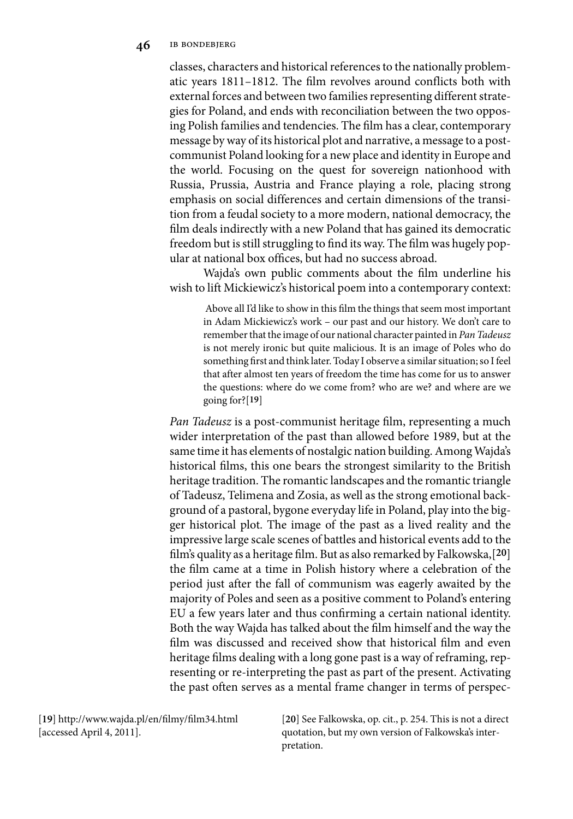#### **46** ib bondebjerg

classes, characters and historical references to the nationally problematic years 1811–1812. The film revolves around conflicts both with external forces and between two families representing different strategies for Poland, and ends with reconciliation between the two opposing Polish families and tendencies. The film has a clear, contemporary message by way of its historical plot and narrative, a message to a postcommunist Poland looking for a new place and identity in Europe and the world. Focusing on the quest for sovereign nationhood with Russia, Prussia, Austria and France playing a role, placing strong emphasis on social differences and certain dimensions of the transition from a feudal society to a more modern, national democracy, the film deals indirectly with a new Poland that has gained its democratic freedom but is still struggling to find its way. The film was hugely popular at national box offices, but had no success abroad.

Wajda's own public comments about the film underline his wish to lift Mickiewicz's historical poem into a contemporary context:

Above all I'd like to show in this film the things that seem most important in Adam Mickiewicz's work – our past and our history. We don't care to remember that the image of our national character painted in *Pan Tadeusz* is not merely ironic but quite malicious. It is an image of Poles who do something first and think later. Today I observe a similar situation; so I feel that after almost ten years of freedom the time has come for us to answer the questions: where do we come from? who are we? and where are we going for?[**19**]

*Pan Tadeusz* is a post-communist heritage film, representing a much wider interpretation of the past than allowed before 1989, but at the same time it has elements of nostalgic nation building. Among Wajda's historical films, this one bears the strongest similarity to the British heritage tradition. The romantic landscapes and the romantic triangle of Tadeusz, Telimena and Zosia, as well as the strong emotional background of a pastoral, bygone everyday life in Poland, play into the bigger historical plot. The image of the past as a lived reality and the impressive large scale scenes of battles and historical events add to the film's quality as a heritage film. But as also remarked by Falkowska,[**20**] the film came at a time in Polish history where a celebration of the period just after the fall of communism was eagerly awaited by the majority of Poles and seen as a positive comment to Poland's entering EU a few years later and thus confirming a certain national identity. Both the way Wajda has talked about the film himself and the way the film was discussed and received show that historical film and even heritage films dealing with a long gone past is a way of reframing, representing or re-interpreting the past as part of the present. Activating the past often serves as a mental frame changer in terms of perspec-

[**19**] http://www.wajda.pl/en/filmy/film34.html [accessed April 4, 2011].

[**20**] See Falkowska, op. cit., p. 254. This is not a direct quotation, but my own version of Falkowska's interpretation.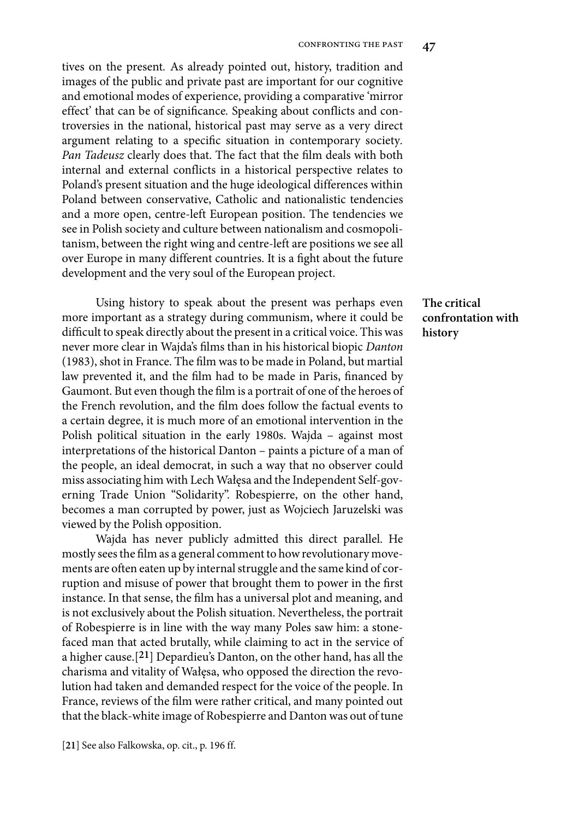tives on the present*.* As already pointed out, history, tradition and images of the public and private past are important for our cognitive and emotional modes of experience, providing a comparative 'mirror effect' that can be of significance*.* Speaking about conflicts and controversies in the national, historical past may serve as a very direct argument relating to a specific situation in contemporary society*. Pan Tadeusz* clearly does that. The fact that the film deals with both internal and external conflicts in a historical perspective relates to Poland's present situation and the huge ideological differences within Poland between conservative, Catholic and nationalistic tendencies and a more open, centre-left European position. The tendencies we see in Polish society and culture between nationalism and cosmopolitanism, between the right wing and centre-left are positions we see all over Europe in many different countries. It is a fight about the future development and the very soul of the European project.

Using history to speak about the present was perhaps even more important as a strategy during communism, where it could be difficult to speak directly about the present in a critical voice. This was never more clear in Wajda's films than in his historical biopic *Danton* (1983), shot in France. The film was to be made in Poland, but martial law prevented it, and the film had to be made in Paris, financed by Gaumont. But even though the film is a portrait of one of the heroes of the French revolution, and the film does follow the factual events to a certain degree, it is much more of an emotional intervention in the Polish political situation in the early 1980s. Wajda – against most interpretations of the historical Danton – paints a picture of a man of the people, an ideal democrat, in such a way that no observer could miss associating him with Lech Wałęsa and the Independent Self-governing Trade Union "Solidarity". Robespierre, on the other hand, becomes a man corrupted by power, just as Wojciech Jaruzelski was viewed by the Polish opposition.

Wajda has never publicly admitted this direct parallel. He mostly sees the film as a general comment to how revolutionary movements are often eaten up by internal struggle and the same kind of corruption and misuse of power that brought them to power in the first instance. In that sense, the film has a universal plot and meaning, and is not exclusively about the Polish situation. Nevertheless, the portrait of Robespierre is in line with the way many Poles saw him: a stonefaced man that acted brutally, while claiming to act in the service of a higher cause.[**21**] Depardieu's Danton, on the other hand, has all the charisma and vitality of Wałęsa, who opposed the direction the revolution had taken and demanded respect for the voice of the people. In France, reviews of the film were rather critical, and many pointed out that the black-white image of Robespierre and Danton was out of tune

# **The critical confrontation with history**

<sup>[</sup>**21**] See also Falkowska, op. cit., p. 196 ff.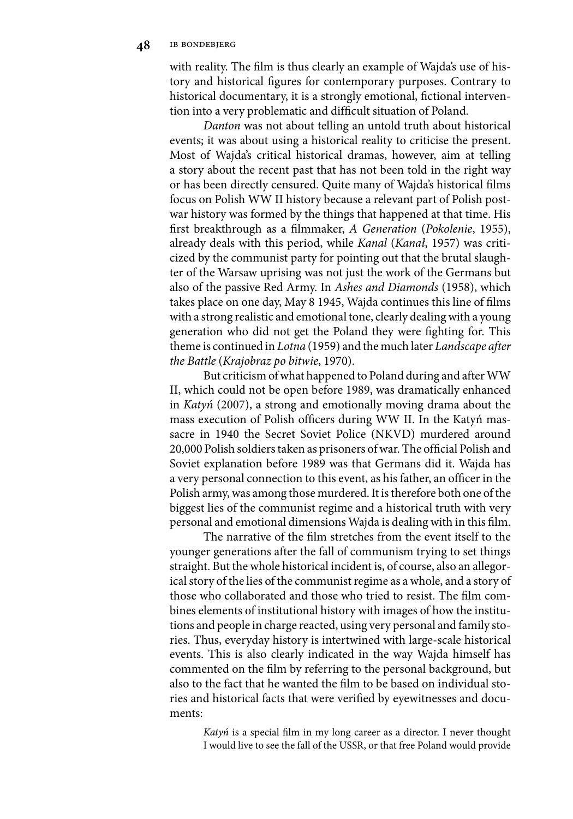with reality. The film is thus clearly an example of Wajda's use of history and historical figures for contemporary purposes. Contrary to historical documentary, it is a strongly emotional, fictional intervention into a very problematic and difficult situation of Poland.

*Danton* was not about telling an untold truth about historical events; it was about using a historical reality to criticise the present. Most of Wajda's critical historical dramas, however, aim at telling a story about the recent past that has not been told in the right way or has been directly censured. Quite many of Wajda's historical films focus on Polish WW II history because a relevant part of Polish postwar history was formed by the things that happened at that time. His first breakthrough as a filmmaker, *A Generation* (*Pokolenie*, 1955), already deals with this period, while *Kanal* (*Kanał*, 1957) was criticized by the communist party for pointing out that the brutal slaughter of the Warsaw uprising was not just the work of the Germans but also of the passive Red Army. In *Ashes and Diamonds* (1958), which takes place on one day, May 8 1945, Wajda continues this line of films with a strong realistic and emotional tone, clearly dealing with a young generation who did not get the Poland they were fighting for. This theme is continued in *Lotna* (1959) and the much later *Landscape after the Battle* (*Krajobraz po bitwie*, 1970).

But criticism of what happened to Poland during and after WW II, which could not be open before 1989, was dramatically enhanced in *Katyń* (2007), a strong and emotionally moving drama about the mass execution of Polish officers during WW II. In the Katyń massacre in 1940 the Secret Soviet Police (NKVD) murdered around 20,000 Polish soldiers taken as prisoners of war. The official Polish and Soviet explanation before 1989 was that Germans did it. Wajda has a very personal connection to this event, as his father, an officer in the Polish army, was among those murdered. It is therefore both one of the biggest lies of the communist regime and a historical truth with very personal and emotional dimensions Wajda is dealing with in this film.

The narrative of the film stretches from the event itself to the younger generations after the fall of communism trying to set things straight. But the whole historical incident is, of course, also an allegorical story of the lies of the communist regime as a whole, and a story of those who collaborated and those who tried to resist. The film combines elements of institutional history with images of how the institutions and people in charge reacted, using very personal and family stories. Thus, everyday history is intertwined with large-scale historical events. This is also clearly indicated in the way Wajda himself has commented on the film by referring to the personal background, but also to the fact that he wanted the film to be based on individual stories and historical facts that were verified by eyewitnesses and documents:

*Katyń* is a special film in my long career as a director. I never thought I would live to see the fall of the USSR, or that free Poland would provide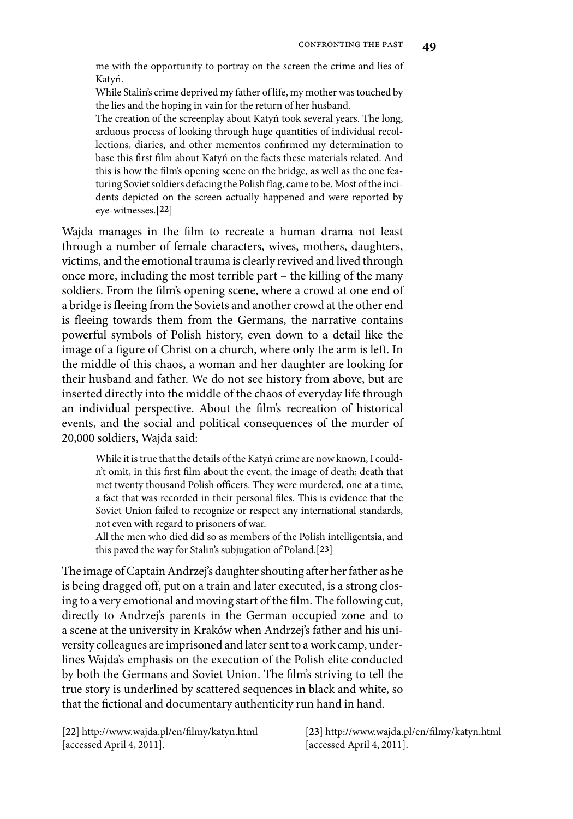me with the opportunity to portray on the screen the crime and lies of Katyń.

While Stalin's crime deprived my father of life, my mother was touched by the lies and the hoping in vain for the return of her husband.

The creation of the screenplay about Katyń took several years. The long, arduous process of looking through huge quantities of individual recollections, diaries, and other mementos confirmed my determination to base this first film about Katyń on the facts these materials related. And this is how the film's opening scene on the bridge, as well as the one featuring Soviet soldiers defacing the Polish flag, came to be. Most of the incidents depicted on the screen actually happened and were reported by eye-witnesses.[**22**]

Wajda manages in the film to recreate a human drama not least through a number of female characters, wives, mothers, daughters, victims, and the emotional trauma is clearly revived and lived through once more, including the most terrible part – the killing of the many soldiers. From the film's opening scene, where a crowd at one end of a bridge is fleeing from the Soviets and another crowd at the other end is fleeing towards them from the Germans, the narrative contains powerful symbols of Polish history, even down to a detail like the image of a figure of Christ on a church, where only the arm is left. In the middle of this chaos, a woman and her daughter are looking for their husband and father. We do not see history from above, but are inserted directly into the middle of the chaos of everyday life through an individual perspective. About the film's recreation of historical events, and the social and political consequences of the murder of 20,000 soldiers, Wajda said:

While it is true that the details of the Katyń crime are now known, I couldn't omit, in this first film about the event, the image of death; death that met twenty thousand Polish officers. They were murdered, one at a time, a fact that was recorded in their personal files. This is evidence that the Soviet Union failed to recognize or respect any international standards, not even with regard to prisoners of war.

All the men who died did so as members of the Polish intelligentsia, and this paved the way for Stalin's subjugation of Poland.[**23**]

The image of Captain Andrzej's daughter shouting after her father as he is being dragged off, put on a train and later executed, is a strong closing to a very emotional and moving start of the film. The following cut, directly to Andrzej's parents in the German occupied zone and to a scene at the university in Kraków when Andrzej's father and his university colleagues are imprisoned and later sent to a work camp, underlines Wajda's emphasis on the execution of the Polish elite conducted by both the Germans and Soviet Union. The film's striving to tell the true story is underlined by scattered sequences in black and white, so that the fictional and documentary authenticity run hand in hand.

[**22**] http://www.wajda.pl/en/filmy/katyn.html [accessed April 4, 2011].

[**23**] http://www.wajda.pl/en/filmy/katyn.html [accessed April 4, 2011].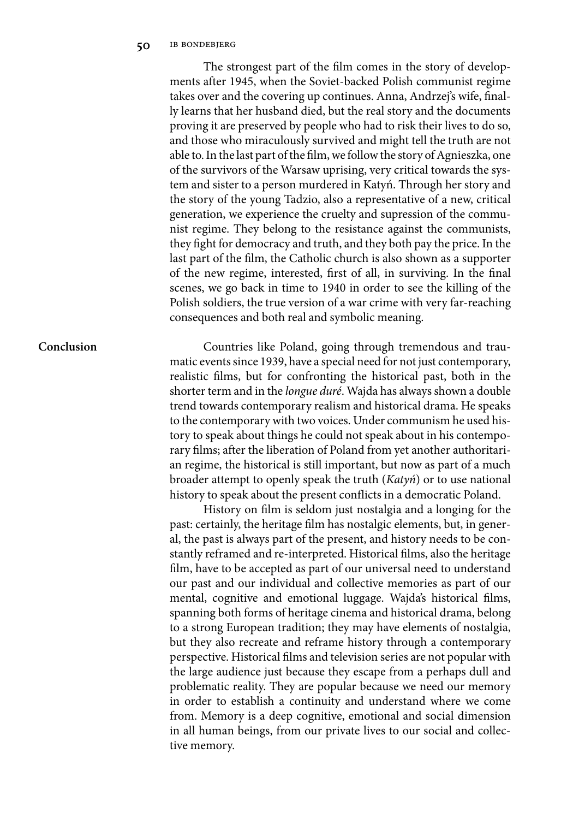The strongest part of the film comes in the story of developments after 1945, when the Soviet-backed Polish communist regime takes over and the covering up continues. Anna, Andrzej's wife, finally learns that her husband died, but the real story and the documents proving it are preserved by people who had to risk their lives to do so, and those who miraculously survived and might tell the truth are not able to. In the last part of the film, we follow the story of Agnieszka, one of the survivors of the Warsaw uprising, very critical towards the system and sister to a person murdered in Katyń. Through her story and the story of the young Tadzio, also a representative of a new, critical generation, we experience the cruelty and supression of the communist regime. They belong to the resistance against the communists, they fight for democracy and truth, and they both pay the price. In the last part of the film, the Catholic church is also shown as a supporter of the new regime, interested, first of all, in surviving. In the final scenes, we go back in time to 1940 in order to see the killing of the Polish soldiers, the true version of a war crime with very far-reaching consequences and both real and symbolic meaning.

## **Conclusion**

Countries like Poland, going through tremendous and traumatic events since 1939, have a special need for not just contemporary, realistic films, but for confronting the historical past, both in the shorter term and in the *longue duré*. Wajda has always shown a double trend towards contemporary realism and historical drama. He speaks to the contemporary with two voices. Under communism he used history to speak about things he could not speak about in his contemporary films; after the liberation of Poland from yet another authoritarian regime, the historical is still important, but now as part of a much broader attempt to openly speak the truth (*Katyń*) or to use national history to speak about the present conflicts in a democratic Poland.

History on film is seldom just nostalgia and a longing for the past: certainly, the heritage film has nostalgic elements, but, in general, the past is always part of the present, and history needs to be constantly reframed and re-interpreted. Historical films, also the heritage film, have to be accepted as part of our universal need to understand our past and our individual and collective memories as part of our mental, cognitive and emotional luggage. Wajda's historical films, spanning both forms of heritage cinema and historical drama, belong to a strong European tradition; they may have elements of nostalgia, but they also recreate and reframe history through a contemporary perspective. Historical films and television series are not popular with the large audience just because they escape from a perhaps dull and problematic reality. They are popular because we need our memory in order to establish a continuity and understand where we come from. Memory is a deep cognitive, emotional and social dimension in all human beings, from our private lives to our social and collective memory.